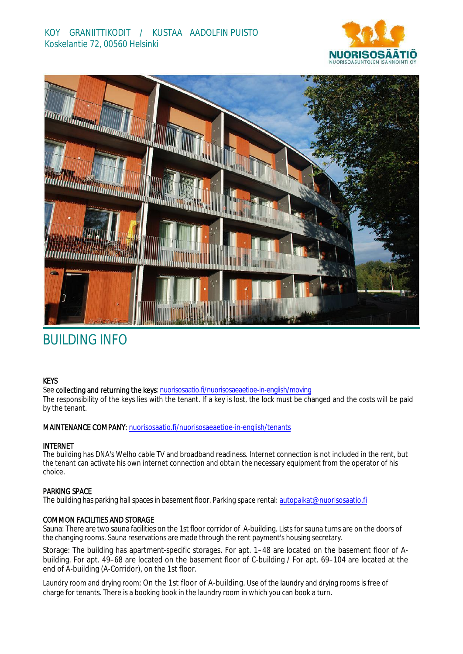



# BUILDING INFO

# **KEYS**

See collecting and returning the keys: n[uorisosaatio.fi/nuorisosaeaetioe-](http://www.nuorisosaatio.fi/muuttajalle)in-english/moving

The responsibility of the keys lies with the tenant. If a key is lost, the lock must be changed and the costs will be paid by the tenant.

# MAINTENANCE COMPANY: [nuorisosaatio.fi/nuoriso](http://www.nuorisosaatio.fi/asukkaalle)saeaetioe-in-english/tenants

### INTERNET

The building has DNA's Welho cable TV and broadband readiness. Internet connection is not included in the rent, but the tenant can activate his own internet connection and obtain the necessary equipment from the operator of his choice.

# PARKING SPACE

The building has parking hall spaces in basement floor. Parking space rental: autopaikat@nuorisosaatio.fi

# COMMON FACILITIES AND STORAGE

Sauna: There are two sauna facilities on the 1st floor corridor of A-building. Lists for sauna turns are on the doors of the changing rooms. Sauna reservations are made through the rent payment's housing secretary.

Storage: The building has apartment-specific storages. For apt. 1–48 are located on the basement floor of Abuilding. For apt. 49–68 are located on the basement floor of C-building / For apt. 69–104 are located at the end of A-building (A-Corridor), on the 1st floor.

Laundry room and drying room: On the 1st floor of A-building. Use of the laundry and drying rooms is free of charge for tenants. There is a booking book in the laundry room in which you can book a turn.